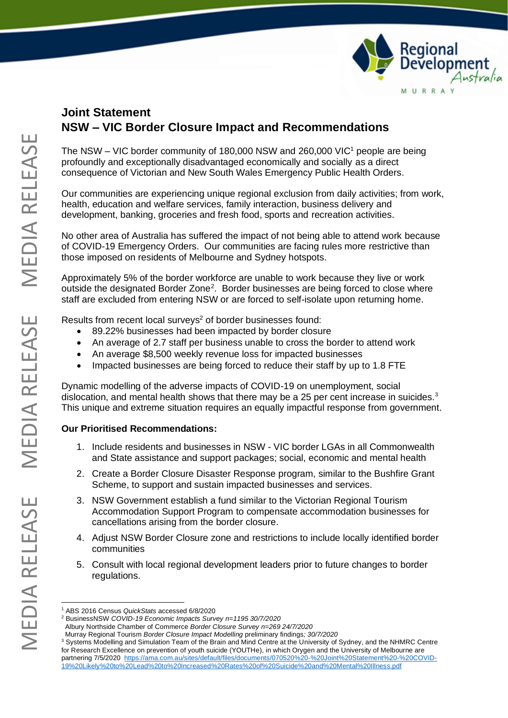

## **Joint Statement NSW – VIC Border Closure Impact and Recommendations**

The NSW – VIC border community of 180,000 NSW and 260,000 VIC<sup>1</sup> people are being profoundly and exceptionally disadvantaged economically and socially as a direct consequence of Victorian and New South Wales Emergency Public Health Orders.

Our communities are experiencing unique regional exclusion from daily activities; from work, health, education and welfare services, family interaction, business delivery and development, banking, groceries and fresh food, sports and recreation activities.

No other area of Australia has suffered the impact of not being able to attend work because of COVID-19 Emergency Orders. Our communities are facing rules more restrictive than those imposed on residents of Melbourne and Sydney hotspots.

Approximately 5% of the border workforce are unable to work because they live or work outside the designated Border Zone<sup>2</sup>. Border businesses are being forced to close where staff are excluded from entering NSW or are forced to self-isolate upon returning home.

Results from recent local surveys <sup>2</sup> of border businesses found:

- 89.22% businesses had been impacted by border closure
- An average of 2.7 staff per business unable to cross the border to attend work
- An average \$8,500 weekly revenue loss for impacted businesses
- Impacted businesses are being forced to reduce their staff by up to 1.8 FTE

Dynamic modelling of the adverse impacts of COVID-19 on unemployment, social dislocation, and mental health shows that there may be a 25 per cent increase in suicides. $3$ This unique and extreme situation requires an equally impactful response from government.

## **Our Prioritised Recommendations:**

- 1. Include residents and businesses in NSW VIC border LGAs in all Commonwealth and State assistance and support packages; social, economic and mental health
- 2. Create a Border Closure Disaster Response program, similar to the Bushfire Grant Scheme, to support and sustain impacted businesses and services.
- 3. NSW Government establish a fund similar to the Victorian Regional Tourism Accommodation Support Program to compensate accommodation businesses for cancellations arising from the border closure.
- 4. Adjust NSW Border Closure zone and restrictions to include locally identified border communities
- 5. Consult with local regional development leaders prior to future changes to border regulations.

<sup>1</sup> ABS 2016 Census *QuickStats* accessed 6/8/2020

<sup>2</sup> BusinessNSW *COVID-19 Economic Impacts Survey n=1195 30/7/2020*

Albury Northside Chamber of Commerce *Border Closure Survey n=269 24/7/2020*

Murray Regional Tourism *Border Closure Impact Modelling* preliminary findings*; 30/7/2020*

<sup>&</sup>lt;sup>3</sup> Systems Modelling and Simulation Team of the Brain and Mind Centre at the University of Sydney, and the NHMRC Centre for Research Excellence on prevention of youth suicide (YOUTHe), in which Orygen and the University of Melbourne are partnering 7/5/2020 [https://ama.com.au/sites/default/files/documents/070520%20-%20Joint%20Statement%20-%20COVID-](https://ama.com.au/sites/default/files/documents/070520%20-%20Joint%20Statement%20-%20COVID-19%20Likely%20to%20Lead%20to%20Increased%20Rates%20of%20Suicide%20and%20Mental%20Illness.pdf)[19%20Likely%20to%20Lead%20to%20Increased%20Rates%20of%20Suicide%20and%20Mental%20Illness.pdf](https://ama.com.au/sites/default/files/documents/070520%20-%20Joint%20Statement%20-%20COVID-19%20Likely%20to%20Lead%20to%20Increased%20Rates%20of%20Suicide%20and%20Mental%20Illness.pdf)